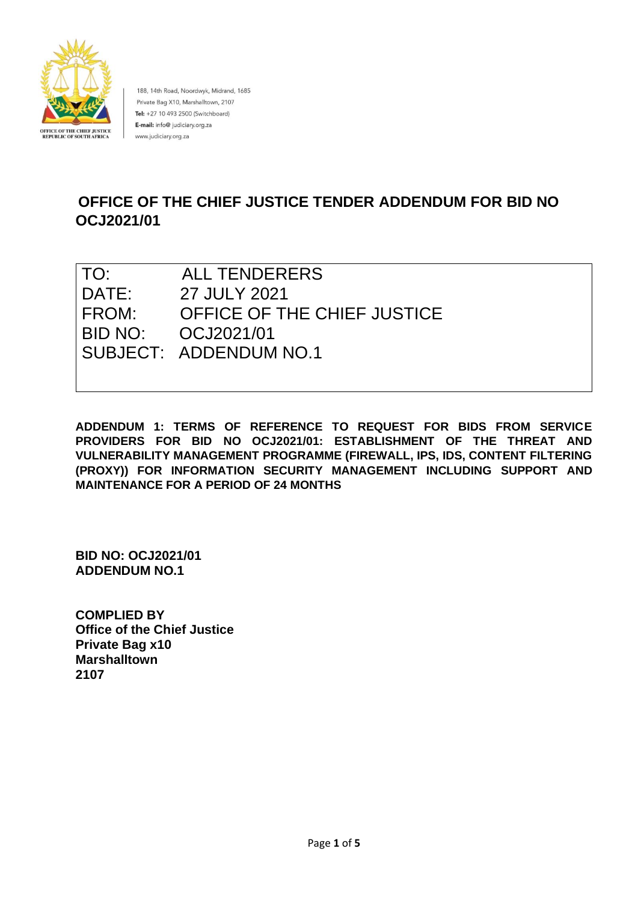

188, 14th Road, Noordwyk, Midrand, 1685 Private Bag X10, Marshalltown, 2107 Tel: +27 10 493 2500 (Switchboard) E-mail: info@ judiciary.org.za www.judiciary.org.za

# **OFFICE OF THE CHIEF JUSTICE TENDER ADDENDUM FOR BID NO OCJ2021/01**

| TO:   | <b>ALL TENDERERS</b>        |
|-------|-----------------------------|
| DATE: | 27 JULY 2021                |
| FROM: | OFFICE OF THE CHIEF JUSTICE |
|       | BID NO: 0CJ2021/01          |
|       | SUBJECT: ADDENDUM NO.1      |
|       |                             |

**ADDENDUM 1: TERMS OF REFERENCE TO REQUEST FOR BIDS FROM SERVICE PROVIDERS FOR BID NO OCJ2021/01: ESTABLISHMENT OF THE THREAT AND VULNERABILITY MANAGEMENT PROGRAMME (FIREWALL, IPS, IDS, CONTENT FILTERING (PROXY)) FOR INFORMATION SECURITY MANAGEMENT INCLUDING SUPPORT AND MAINTENANCE FOR A PERIOD OF 24 MONTHS** 

**BID NO: OCJ2021/01 ADDENDUM NO.1** 

**COMPLIED BY Office of the Chief Justice Private Bag x10 Marshalltown 2107**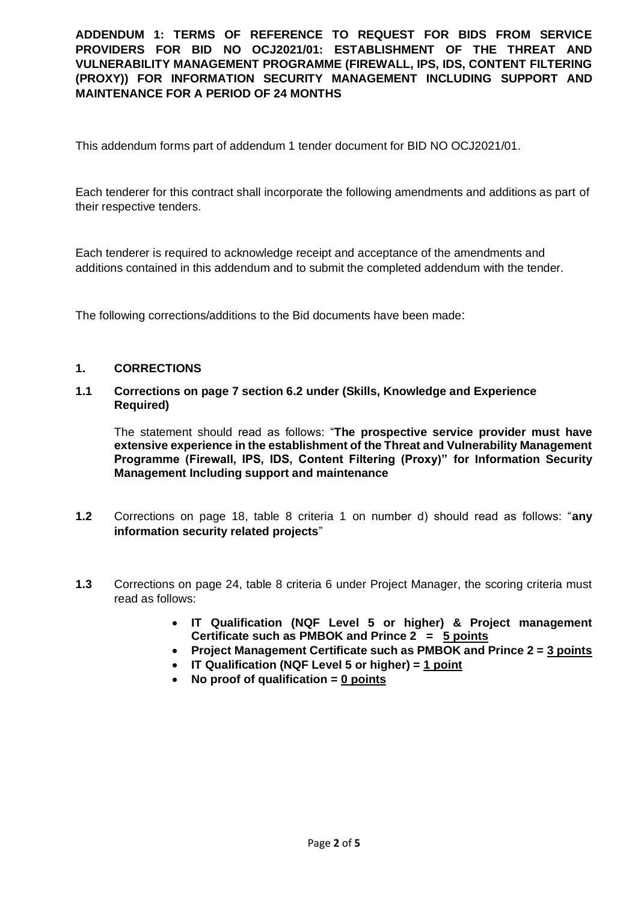This addendum forms part of addendum 1 tender document for BID NO OCJ2021/01.

Each tenderer for this contract shall incorporate the following amendments and additions as part of their respective tenders.

Each tenderer is required to acknowledge receipt and acceptance of the amendments and additions contained in this addendum and to submit the completed addendum with the tender.

The following corrections/additions to the Bid documents have been made:

## **1. CORRECTIONS**

## **1.1 Corrections on page 7 section 6.2 under (Skills, Knowledge and Experience Required)**

The statement should read as follows: "**The prospective service provider must have extensive experience in the establishment of the Threat and Vulnerability Management Programme (Firewall, IPS, IDS, Content Filtering (Proxy)" for Information Security Management Including support and maintenance**

- **1.2** Corrections on page 18, table 8 criteria 1 on number d) should read as follows: "**any information security related projects**"
- **1.3** Corrections on page 24, table 8 criteria 6 under Project Manager, the scoring criteria must read as follows:
	- **IT Qualification (NQF Level 5 or higher) & Project management Certificate such as PMBOK and Prince 2 = 5 points**
	- **Project Management Certificate such as PMBOK and Prince 2 = 3 points**
	- **IT Qualification (NQF Level 5 or higher) = 1 point**
	- **No proof of qualification = 0 points**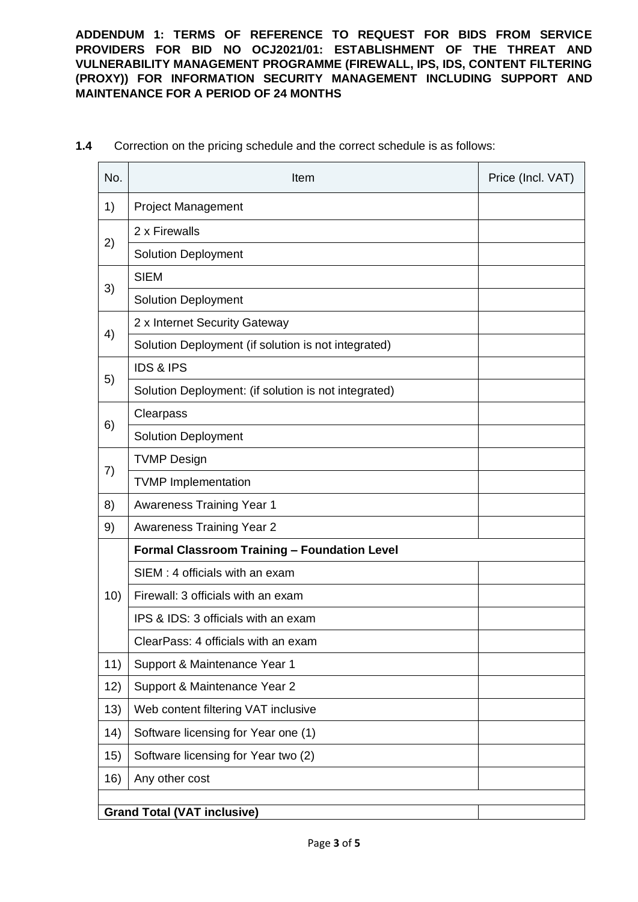| No.                                | Item                                                 | Price (Incl. VAT) |  |  |
|------------------------------------|------------------------------------------------------|-------------------|--|--|
| 1)                                 | <b>Project Management</b>                            |                   |  |  |
| 2)                                 | 2 x Firewalls                                        |                   |  |  |
|                                    | <b>Solution Deployment</b>                           |                   |  |  |
| 3)                                 | <b>SIEM</b>                                          |                   |  |  |
|                                    | <b>Solution Deployment</b>                           |                   |  |  |
| 4)                                 | 2 x Internet Security Gateway                        |                   |  |  |
|                                    | Solution Deployment (if solution is not integrated)  |                   |  |  |
| 5)                                 | <b>IDS &amp; IPS</b>                                 |                   |  |  |
|                                    | Solution Deployment: (if solution is not integrated) |                   |  |  |
| 6)                                 | Clearpass                                            |                   |  |  |
|                                    | <b>Solution Deployment</b>                           |                   |  |  |
| 7)                                 | <b>TVMP Design</b>                                   |                   |  |  |
|                                    | <b>TVMP Implementation</b>                           |                   |  |  |
| 8)                                 | <b>Awareness Training Year 1</b>                     |                   |  |  |
| 9)                                 | <b>Awareness Training Year 2</b>                     |                   |  |  |
| 10)                                | <b>Formal Classroom Training - Foundation Level</b>  |                   |  |  |
|                                    | SIEM: 4 officials with an exam                       |                   |  |  |
|                                    | Firewall: 3 officials with an exam                   |                   |  |  |
|                                    | IPS & IDS: 3 officials with an exam                  |                   |  |  |
|                                    | ClearPass: 4 officials with an exam                  |                   |  |  |
| 11)                                | Support & Maintenance Year 1                         |                   |  |  |
| 12)                                | Support & Maintenance Year 2                         |                   |  |  |
| 13)                                | Web content filtering VAT inclusive                  |                   |  |  |
| 14)                                | Software licensing for Year one (1)                  |                   |  |  |
| 15)                                | Software licensing for Year two (2)                  |                   |  |  |
| 16)                                | Any other cost                                       |                   |  |  |
| <b>Grand Total (VAT inclusive)</b> |                                                      |                   |  |  |
|                                    |                                                      |                   |  |  |

**1.4** Correction on the pricing schedule and the correct schedule is as follows: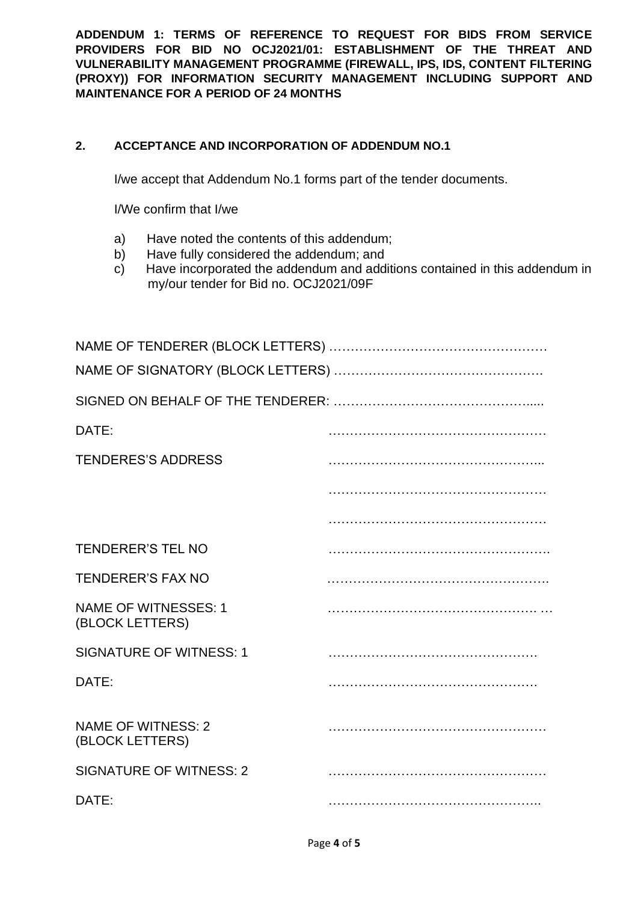## **2. ACCEPTANCE AND INCORPORATION OF ADDENDUM NO.1**

I/we accept that Addendum No.1 forms part of the tender documents.

I/We confirm that I/we

- a) Have noted the contents of this addendum;
- b) Have fully considered the addendum; and
- c) Have incorporated the addendum and additions contained in this addendum in my/our tender for Bid no. OCJ2021/09F

| DATE:                                          |  |  |  |  |
|------------------------------------------------|--|--|--|--|
| <b>TENDERES'S ADDRESS</b>                      |  |  |  |  |
|                                                |  |  |  |  |
|                                                |  |  |  |  |
| <b>TENDERER'S TEL NO</b>                       |  |  |  |  |
| <b>TENDERER'S FAX NO</b>                       |  |  |  |  |
| <b>NAME OF WITNESSES: 1</b><br>(BLOCK LETTERS) |  |  |  |  |
| <b>SIGNATURE OF WITNESS: 1</b>                 |  |  |  |  |
| DATE:                                          |  |  |  |  |
| <b>NAME OF WITNESS: 2</b><br>(BLOCK LETTERS)   |  |  |  |  |
| <b>SIGNATURE OF WITNESS: 2</b>                 |  |  |  |  |
| DATE:                                          |  |  |  |  |